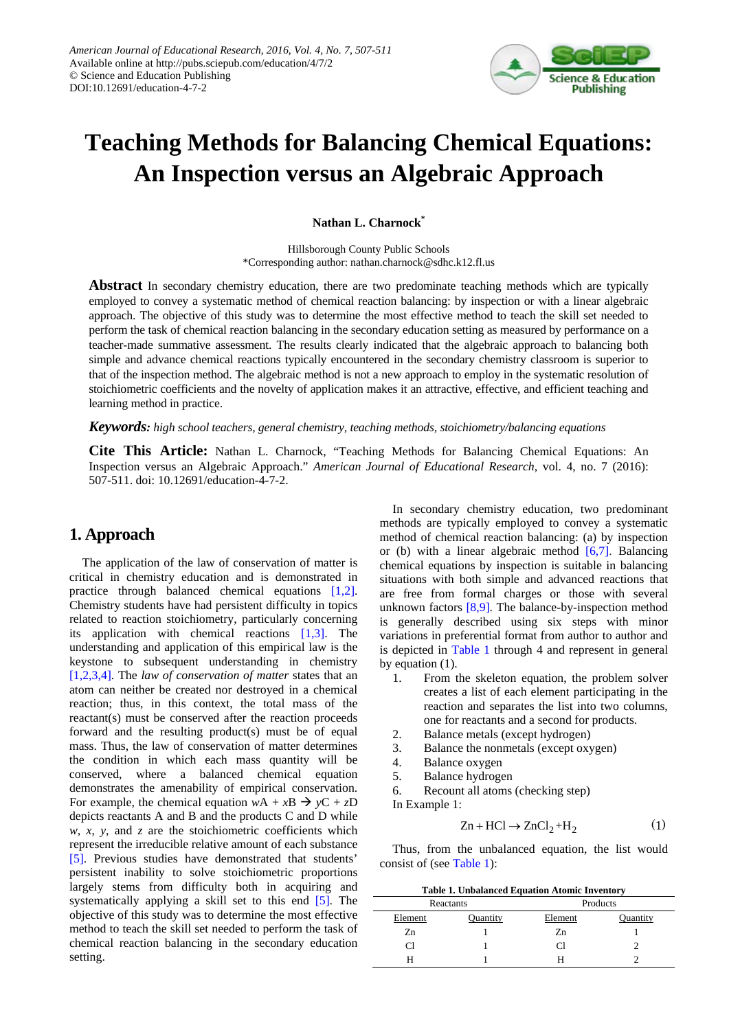

# **Teaching Methods for Balancing Chemical Equations: An Inspection versus an Algebraic Approach**

**Nathan L. Charnock\***

Hillsborough County Public Schools \*Corresponding author: nathan.charnock@sdhc.k12.fl.us

**Abstract** In secondary chemistry education, there are two predominate teaching methods which are typically employed to convey a systematic method of chemical reaction balancing: by inspection or with a linear algebraic approach. The objective of this study was to determine the most effective method to teach the skill set needed to perform the task of chemical reaction balancing in the secondary education setting as measured by performance on a teacher-made summative assessment. The results clearly indicated that the algebraic approach to balancing both simple and advance chemical reactions typically encountered in the secondary chemistry classroom is superior to that of the inspection method. The algebraic method is not a new approach to employ in the systematic resolution of stoichiometric coefficients and the novelty of application makes it an attractive, effective, and efficient teaching and learning method in practice.

*Keywords: high school teachers, general chemistry, teaching methods, stoichiometry/balancing equations*

**Cite This Article:** Nathan L. Charnock, "Teaching Methods for Balancing Chemical Equations: An Inspection versus an Algebraic Approach." *American Journal of Educational Research*, vol. 4, no. 7 (2016): 507-511. doi: 10.12691/education-4-7-2.

# **1. Approach**

The application of the law of conservation of matter is critical in chemistry education and is demonstrated in practice through balanced chemical equations [\[1,2\].](#page-3-0) Chemistry students have had persistent difficulty in topics related to reaction stoichiometry, particularly concerning its application with chemical reactions [\[1,3\].](#page-3-0) The understanding and application of this empirical law is the keystone to subsequent understanding in chemistry [\[1,2,3,4\].](#page-3-0) The *law of conservation of matter* states that an atom can neither be created nor destroyed in a chemical reaction; thus, in this context, the total mass of the reactant(s) must be conserved after the reaction proceeds forward and the resulting product(s) must be of equal mass. Thus, the law of conservation of matter determines the condition in which each mass quantity will be conserved, where a balanced chemical equation demonstrates the amenability of empirical conservation. For example, the chemical equation  $wA + xB \rightarrow yC + zD$ depicts reactants A and B and the products C and D while *w*, *x*, *y*, and *z* are the stoichiometric coefficients which represent the irreducible relative amount of each substance [\[5\].](#page-3-1) Previous studies have demonstrated that students' persistent inability to solve stoichiometric proportions largely stems from difficulty both in acquiring and systematically applying a skill set to this end [\[5\].](#page-3-1) The objective of this study was to determine the most effective method to teach the skill set needed to perform the task of chemical reaction balancing in the secondary education setting.

In secondary chemistry education, two predominant methods are typically employed to convey a systematic method of chemical reaction balancing: (a) by inspection or (b) with a linear algebraic method  $[6,7]$ . Balancing chemical equations by inspection is suitable in balancing situations with both simple and advanced reactions that are free from formal charges or those with several unknown factors [\[8,9\].](#page-3-3) The balance-by-inspection method is generally described using six steps with minor variations in preferential format from author to author and is depicted in [Table 1](#page-0-0) through 4 and represent in general by equation (1).

- 1. From the skeleton equation, the problem solver creates a list of each element participating in the reaction and separates the list into two columns, one for reactants and a second for products.
- 2. Balance metals (except hydrogen)<br>3. Balance the nonmetals (except oxy
- Balance the nonmetals (except oxygen)
- 4. Balance oxygen
- 5. Balance hydrogen

6. Recount all atoms (checking step)

In Example 1:

$$
Zn + HCl \to ZnCl_2 + H_2 \tag{1}
$$

Thus, from the unbalanced equation, the list would consist of (see [Table 1\)](#page-0-0):

|  | <b>Table 1. Unbalanced Equation Atomic Inventory</b> |  |  |  |
|--|------------------------------------------------------|--|--|--|
|--|------------------------------------------------------|--|--|--|

<span id="page-0-0"></span>

|         | Reactants |         | Products |
|---------|-----------|---------|----------|
| Element | Quantity  | Element | Quantity |
| Zn      |           | Zn      |          |
| C       |           | Cl      |          |
|         |           |         |          |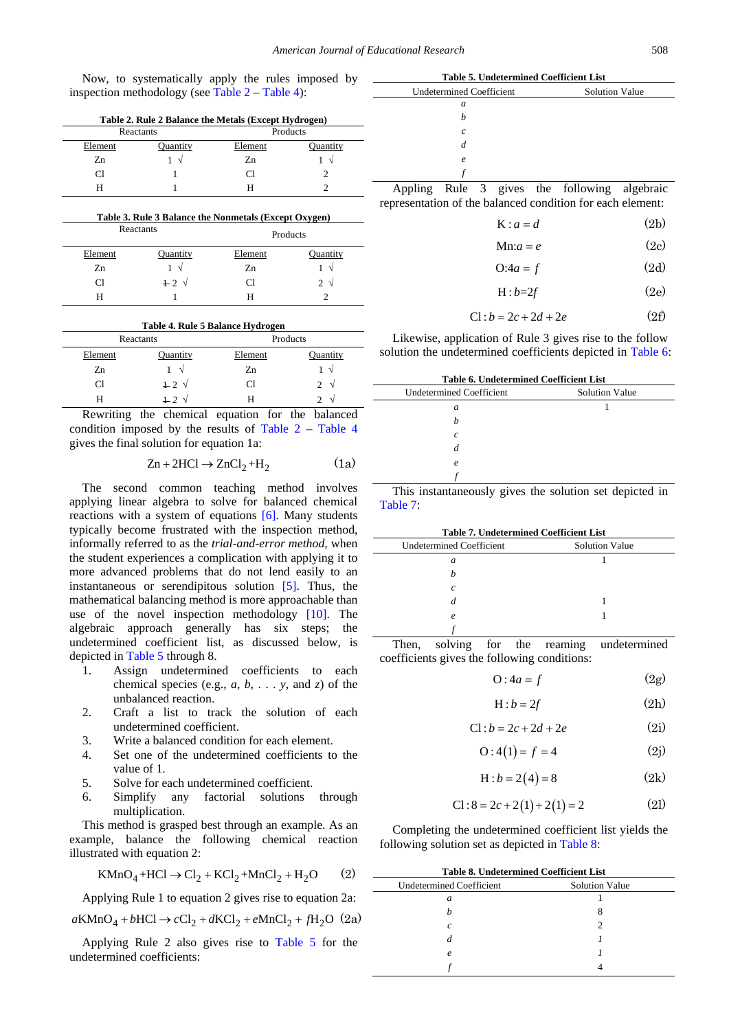Now, to systematically apply the rules imposed by inspection methodology (see Table  $2 -$  [Table 4\)](#page-1-1):

<span id="page-1-0"></span>

| Table 2. Rule 2 Balance the Metals (Except Hydrogen) |           |         |                 |
|------------------------------------------------------|-----------|---------|-----------------|
|                                                      | Reactants |         | <b>Products</b> |
| Element                                              | Ouantity  | Element | Ouantity        |
| Zn                                                   |           | Zn      |                 |
| ( `l                                                 |           |         |                 |
|                                                      |           |         |                 |

| Table 3. Rule 3 Balance the Nonmetals (Except Oxygen) |  |
|-------------------------------------------------------|--|
|                                                       |  |

|         | Reactants       |         | Products        |
|---------|-----------------|---------|-----------------|
| Element | Quantity        | Element | Quantity        |
| Zn      | V               | Zn      | N               |
| Cl      | $+2$ $\sqrt{ }$ | Cl      | 2<br>$\sqrt{ }$ |
|         |                 | н       |                 |

#### **Table 4. Rule 5 Balance Hydrogen**

<span id="page-1-1"></span>

|         | Reactants        |         | Products |
|---------|------------------|---------|----------|
| Element | Quantity         | Element | Quantity |
| Zn      |                  | Zn      | N        |
| C1      | $+2$ $\sqrt{ }$  | Cl      | 2<br>N   |
| н       | $\perp$ 2 $\vee$ | н       | $\sim$   |

Rewriting the chemical equation for the balanced condition imposed by the results of [Table 2](#page-1-0) – [Table 4](#page-1-1) gives the final solution for equation 1a:

$$
Zn + 2HCl \to ZnCl_2 + H_2 \tag{1a}
$$

The second common teaching method involves applying linear algebra to solve for balanced chemical reactions with a system of equations [\[6\].](#page-3-2) Many students typically become frustrated with the inspection method, informally referred to as the *trial-and-error method*, when the student experiences a complication with applying it to more advanced problems that do not lend easily to an instantaneous or serendipitous solution [\[5\].](#page-3-1) Thus, the mathematical balancing method is more approachable than use of the novel inspection methodology [\[10\].](#page-4-0) The algebraic approach generally has six steps; the undetermined coefficient list, as discussed below, is depicted in [Table 5](#page-1-2) through 8.

- 1. Assign undetermined coefficients to each chemical species (e.g.,  $a, b, \ldots$   $y,$  and  $z$ ) of the unbalanced reaction.
- 2. Craft a list to track the solution of each undetermined coefficient.
- 3. Write a balanced condition for each element.
- 4. Set one of the undetermined coefficients to the value of 1.
- 5. Solve for each undetermined coefficient.
- 6. Simplify any factorial solutions through multiplication.

This method is grasped best through an example. As an example, balance the following chemical reaction illustrated with equation 2:

$$
KMnO_4 + HCl \rightarrow Cl_2 + KCl_2 + MnCl_2 + H_2O \qquad (2)
$$

Applying Rule 1 to equation 2 gives rise to equation 2a:

$$
a\text{KMnO}_4 + b\text{HCl} \rightarrow c\text{Cl}_2 + d\text{KCl}_2 + e\text{MnCl}_2 + f\text{H}_2\text{O} \ (2a)
$$

Applying Rule 2 also gives rise to [Table 5](#page-1-2) for the undetermined coefficients:

<span id="page-1-2"></span>

| <b>Table 5. Undetermined Coefficient List</b> |                                 |                       |
|-----------------------------------------------|---------------------------------|-----------------------|
|                                               | <b>Undetermined Coefficient</b> | <b>Solution Value</b> |
|                                               | a                               |                       |
|                                               | h                               |                       |
|                                               | c                               |                       |
|                                               | d                               |                       |
|                                               | $\rho$                          |                       |
|                                               |                                 |                       |
|                                               |                                 |                       |

Appling Rule 3 gives the following algebraic representation of the balanced condition for each element:

| $K : a = d$  | (2b) |
|--------------|------|
| $Mn:a = e$   | (2c) |
| $Q:4a = f$   | (2d) |
| $H : b = 2f$ | (2e) |

$$
Cl: b = 2c + 2d + 2e \tag{2f}
$$

Likewise, application of Rule 3 gives rise to the follow solution the undetermined coefficients depicted in [Table 6:](#page-1-3)

<span id="page-1-3"></span>

| <b>Table 6. Undetermined Coefficient List</b> |                       |  |
|-----------------------------------------------|-----------------------|--|
| <b>Undetermined Coefficient</b>               | <b>Solution Value</b> |  |
| a                                             |                       |  |
| h                                             |                       |  |
| C                                             |                       |  |
| d                                             |                       |  |
| e                                             |                       |  |
|                                               |                       |  |
| ٠<br>$\sim$                                   | .<br>$\sim$<br>.      |  |

This instantaneously gives the solution set depicted in [Table 7:](#page-1-4)

<span id="page-1-4"></span>

| <b>Table 7. Undetermined Coefficient List</b> |                       |  |
|-----------------------------------------------|-----------------------|--|
| Undetermined Coefficient                      | <b>Solution Value</b> |  |
| a                                             |                       |  |
|                                               |                       |  |
|                                               |                       |  |

*d* 1 *e* 1

*f* Then, solving for the reaming undetermined coefficients gives the following conditions:

$$
O: 4a = f \tag{2g}
$$

$$
H : b = 2f \tag{2h}
$$

$$
Cl: b = 2c + 2d + 2e \tag{2i}
$$

$$
O:4(1) = f = 4
$$
 (2j)

$$
H : b = 2(4) = 8
$$
 (2k)

$$
Cl: 8 = 2c + 2(1) + 2(1) = 2
$$
 (21)

Completing the undetermined coefficient list yields the following solution set as depicted in [Table 8:](#page-1-5)

|  | Table 8. Undetermined Coefficient List |
|--|----------------------------------------|
|  |                                        |

<span id="page-1-5"></span>

| <b>Undetermined Coefficient</b> | <b>Solution Value</b> |
|---------------------------------|-----------------------|
| a                               |                       |
|                                 |                       |
|                                 |                       |
|                                 |                       |
| $\boldsymbol{\rho}$             |                       |
|                                 |                       |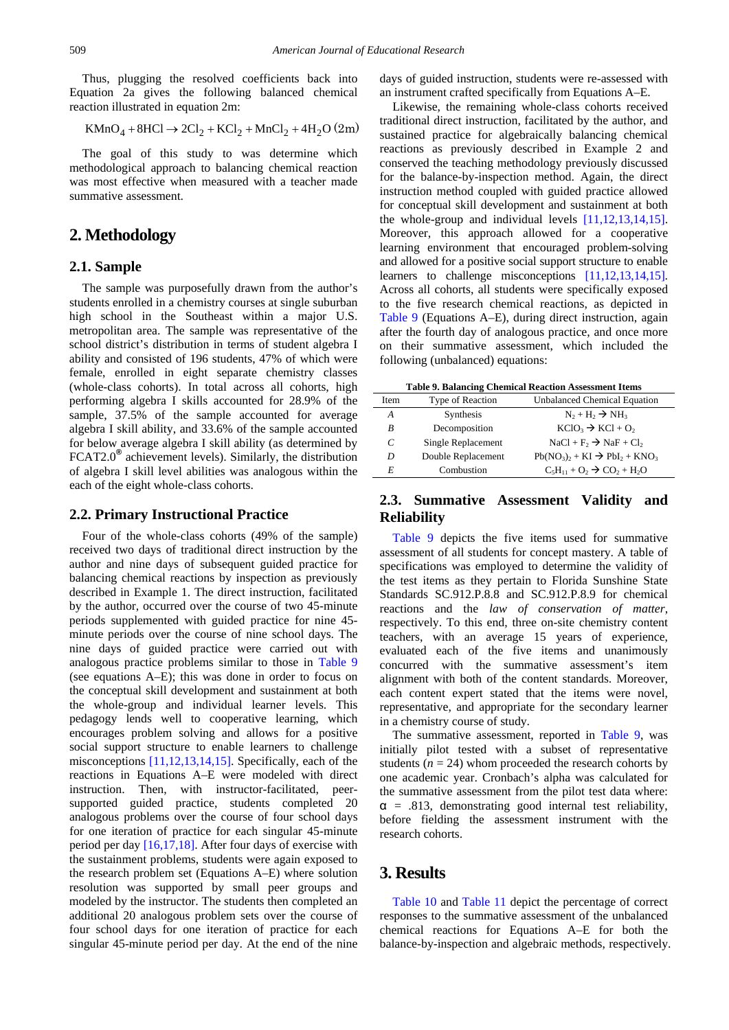Thus, plugging the resolved coefficients back into Equation 2a gives the following balanced chemical reaction illustrated in equation 2m:

$$
KMnO_4 + 8HCl \to 2Cl_2 + KCl_2 + MnCl_2 + 4H_2O (2m)
$$

The goal of this study to was determine which methodological approach to balancing chemical reaction was most effective when measured with a teacher made summative assessment.

# **2. Methodology**

#### **2.1. Sample**

The sample was purposefully drawn from the author's students enrolled in a chemistry courses at single suburban high school in the Southeast within a major U.S. metropolitan area. The sample was representative of the school district's distribution in terms of student algebra I ability and consisted of 196 students, 47% of which were female, enrolled in eight separate chemistry classes (whole-class cohorts). In total across all cohorts, high performing algebra I skills accounted for 28.9% of the sample, 37.5% of the sample accounted for average algebra I skill ability, and 33.6% of the sample accounted for below average algebra I skill ability (as determined by FCAT2.0**®** achievement levels). Similarly, the distribution of algebra I skill level abilities was analogous within the each of the eight whole-class cohorts.

#### **2.2. Primary Instructional Practice**

Four of the whole-class cohorts (49% of the sample) received two days of traditional direct instruction by the author and nine days of subsequent guided practice for balancing chemical reactions by inspection as previously described in Example 1. The direct instruction, facilitated by the author, occurred over the course of two 45-minute periods supplemented with guided practice for nine 45 minute periods over the course of nine school days. The nine days of guided practice were carried out with analogous practice problems similar to those in [Table 9](#page-2-0) (see equations A–E); this was done in order to focus on the conceptual skill development and sustainment at both the whole-group and individual learner levels. This pedagogy lends well to cooperative learning, which encourages problem solving and allows for a positive social support structure to enable learners to challenge misconceptions [\[11,12,13,14,15\].](#page-4-1) Specifically, each of the reactions in Equations A–E were modeled with direct instruction. Then, with instructor-facilitated, peersupported guided practice, students completed 20 analogous problems over the course of four school days for one iteration of practice for each singular 45-minute period per day [\[16,17,18\].](#page-4-2) After four days of exercise with the sustainment problems, students were again exposed to the research problem set (Equations A–E) where solution resolution was supported by small peer groups and modeled by the instructor. The students then completed an additional 20 analogous problem sets over the course of four school days for one iteration of practice for each singular 45-minute period per day. At the end of the nine

days of guided instruction, students were re-assessed with an instrument crafted specifically from Equations A–E.

Likewise, the remaining whole-class cohorts received traditional direct instruction, facilitated by the author, and sustained practice for algebraically balancing chemical reactions as previously described in Example 2 and conserved the teaching methodology previously discussed for the balance-by-inspection method. Again, the direct instruction method coupled with guided practice allowed for conceptual skill development and sustainment at both the whole-group and individual levels [\[11,12,13,14,15\].](#page-4-1) Moreover, this approach allowed for a cooperative learning environment that encouraged problem-solving and allowed for a positive social support structure to enable learners to challenge misconceptions [\[11,12,13,14,15\].](#page-4-1) Across all cohorts, all students were specifically exposed to the five research chemical reactions, as depicted in [Table 9](#page-2-0) (Equations A–E), during direct instruction, again after the fourth day of analogous practice, and once more on their summative assessment, which included the following (unbalanced) equations:

**Table 9. Balancing Chemical Reaction Assessment Items**

<span id="page-2-0"></span>

| <b>Item</b> | Type of Reaction   | <b>Unbalanced Chemical Equation</b>                                   |
|-------------|--------------------|-----------------------------------------------------------------------|
| А           | Synthesis          | $N_2 + H_2 \rightarrow NH_3$                                          |
| R           | Decomposition      | $KClO_3 \rightarrow KCl + O_2$                                        |
| C           | Single Replacement | $NaCl + F_2 \rightarrow NaF + Cl_2$                                   |
| D           | Double Replacement | $Pb(NO_3)$ <sub>2</sub> + KI $\rightarrow$ $PbI_2$ + KNO <sub>3</sub> |
| E           | Combustion         | $C_5H_{11} + O_2 \rightarrow CO_2 + H_2O$                             |
|             |                    |                                                                       |

### **2.3. Summative Assessment Validity and Reliability**

[Table 9](#page-2-0) depicts the five items used for summative assessment of all students for concept mastery. A table of specifications was employed to determine the validity of the test items as they pertain to Florida Sunshine State Standards SC.912.P.8.8 and SC.912.P.8.9 for chemical reactions and the *law of conservation of matter*, respectively. To this end, three on-site chemistry content teachers, with an average 15 years of experience, evaluated each of the five items and unanimously concurred with the summative assessment's item alignment with both of the content standards. Moreover, each content expert stated that the items were novel, representative, and appropriate for the secondary learner in a chemistry course of study.

The summative assessment, reported in [Table 9,](#page-2-0) was initially pilot tested with a subset of representative students  $(n = 24)$  whom proceeded the research cohorts by one academic year. Cronbach's alpha was calculated for the summative assessment from the pilot test data where:  $\alpha$  = .813, demonstrating good internal test reliability, before fielding the assessment instrument with the research cohorts.

### **3. Results**

[Table 10](#page-3-4) and [Table 11](#page-3-5) depict the percentage of correct responses to the summative assessment of the unbalanced chemical reactions for Equations A–E for both the balance-by-inspection and algebraic methods, respectively.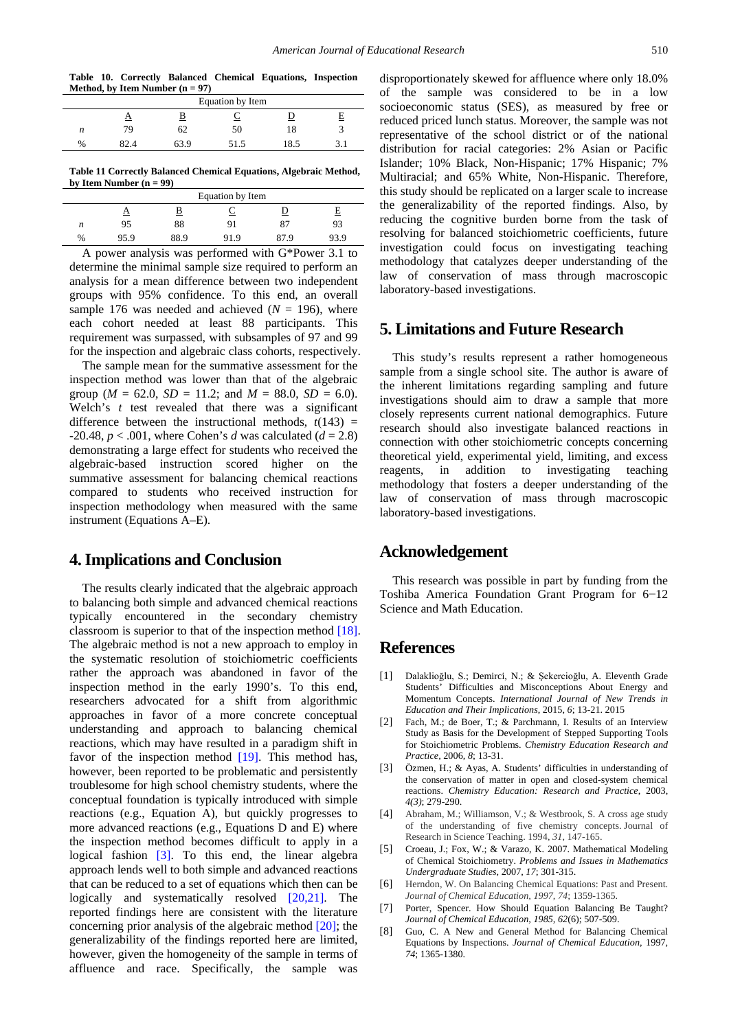|                                   |  |  |  |  | Table 10. Correctly Balanced Chemical Equations, Inspection |  |  |
|-----------------------------------|--|--|--|--|-------------------------------------------------------------|--|--|
| Method, by Item Number $(n = 97)$ |  |  |  |  |                                                             |  |  |

<span id="page-3-4"></span>

|   | Equation by Item |      |      |      |  |  |
|---|------------------|------|------|------|--|--|
|   |                  |      |      |      |  |  |
| n | 79               | 62   | 50   | 18   |  |  |
| % | 32.4             | 53.9 | 51.5 | 18.5 |  |  |

**Table 11 Correctly Balanced Chemical Equations, Algebraic Method, by Item Number (n = 99)**

<span id="page-3-5"></span>

|   | Equation by Item |      |      |      |      |
|---|------------------|------|------|------|------|
|   | $\mathbf{L}$     |      |      |      | E    |
| n | 95               | 88   | 91   | 87   | 93   |
| % | 95.9             | 88.9 | 91.9 | 87.9 | 93.9 |

A power analysis was performed with G\*Power 3.1 to determine the minimal sample size required to perform an analysis for a mean difference between two independent groups with 95% confidence. To this end, an overall sample 176 was needed and achieved  $(N = 196)$ , where each cohort needed at least 88 participants. This requirement was surpassed, with subsamples of 97 and 99 for the inspection and algebraic class cohorts, respectively.

The sample mean for the summative assessment for the inspection method was lower than that of the algebraic group ( $M = 62.0$ ,  $SD = 11.2$ ; and  $M = 88.0$ ,  $SD = 6.0$ ). Welch's *t* test revealed that there was a significant difference between the instructional methods,  $t(143)$  =  $-20.48$ ,  $p < .001$ , where Cohen's *d* was calculated (*d* = 2.8) demonstrating a large effect for students who received the algebraic-based instruction scored higher on the summative assessment for balancing chemical reactions compared to students who received instruction for inspection methodology when measured with the same instrument (Equations A–E).

### **4. Implications and Conclusion**

The results clearly indicated that the algebraic approach to balancing both simple and advanced chemical reactions typically encountered in the secondary chemistry classroom is superior to that of the inspection method [\[18\].](#page-4-3) The algebraic method is not a new approach to employ in the systematic resolution of stoichiometric coefficients rather the approach was abandoned in favor of the inspection method in the early 1990's. To this end, researchers advocated for a shift from algorithmic approaches in favor of a more concrete conceptual understanding and approach to balancing chemical reactions, which may have resulted in a paradigm shift in favor of the inspection method [\[19\].](#page-4-4) This method has, however, been reported to be problematic and persistently troublesome for high school chemistry students, where the conceptual foundation is typically introduced with simple reactions (e.g., Equation A), but quickly progresses to more advanced reactions (e.g., Equations D and E) where the inspection method becomes difficult to apply in a logical fashion [\[3\].](#page-3-6) To this end, the linear algebra approach lends well to both simple and advanced reactions that can be reduced to a set of equations which then can be logically and systematically resolved [\[20,21\].](#page-4-5) The reported findings here are consistent with the literature concerning prior analysis of the algebraic method [\[20\];](#page-4-5) the generalizability of the findings reported here are limited, however, given the homogeneity of the sample in terms of affluence and race. Specifically, the sample was

disproportionately skewed for affluence where only 18.0% of the sample was considered to be in a low socioeconomic status (SES), as measured by free or reduced priced lunch status. Moreover, the sample was not representative of the school district or of the national distribution for racial categories: 2% Asian or Pacific Islander; 10% Black, Non-Hispanic; 17% Hispanic; 7% Multiracial; and 65% White, Non-Hispanic. Therefore, this study should be replicated on a larger scale to increase the generalizability of the reported findings. Also, by reducing the cognitive burden borne from the task of resolving for balanced stoichiometric coefficients, future investigation could focus on investigating teaching methodology that catalyzes deeper understanding of the law of conservation of mass through macroscopic laboratory-based investigations.

# **5. Limitations and Future Research**

This study's results represent a rather homogeneous sample from a single school site. The author is aware of the inherent limitations regarding sampling and future investigations should aim to draw a sample that more closely represents current national demographics. Future research should also investigate balanced reactions in connection with other stoichiometric concepts concerning theoretical yield, experimental yield, limiting, and excess reagents, in addition to investigating teaching methodology that fosters a deeper understanding of the law of conservation of mass through macroscopic laboratory-based investigations.

#### **Acknowledgement**

This research was possible in part by funding from the Toshiba America Foundation Grant Program for 6−12 Science and Math Education.

# **References**

- <span id="page-3-0"></span>[1] Dalaklioğlu, S.; Demirci, N.; & Şekercioğlu, A. Eleventh Grade Students' Difficulties and Misconceptions About Energy and Momentum Concepts. *International Journal of New Trends in Education and Their Implications*, 2015, *6*; 13-21. 2015
- [2] Fach, M.; de Boer, T.; & Parchmann, I. Results of an Interview Study as Basis for the Development of Stepped Supporting Tools for Stoichiometric Problems. *Chemistry Education Research and Practice,* 2006*, 8*; 13-31.
- <span id="page-3-6"></span>[3] Özmen, H.; & Ayas, A. Students' difficulties in understanding of the conservation of matter in open and closed-system chemical reactions. *Chemistry Education: Research and Practice*, 2003, *4(3)*; 279-290.
- [4] Abraham, M.; Williamson, V.; & Westbrook, S. A cross age study of the understanding of five chemistry concepts. Journal of Research in Science Teaching. 1994, *31*, 147-165.
- <span id="page-3-1"></span>[5] Croeau, J.; Fox, W.; & Varazo, K. 2007. Mathematical Modeling of Chemical Stoichiometry. *Problems and Issues in Mathematics Undergraduate Studies,* 2007*, 17*; 301-315.
- <span id="page-3-2"></span>[6] Herndon, W. On Balancing Chemical Equations: Past and Present. *Journal of Chemical Education, 1997, 74*; 1359-1365.
- [7] Porter, Spencer. How Should Equation Balancing Be Taught? *Journal of Chemical Education, 1985, 62*(6); 507-509.
- <span id="page-3-3"></span>[8] Guo, C. A New and General Method for Balancing Chemical Equations by Inspections. *Journal of Chemical Education,* 1997*, 74*; 1365-1380.